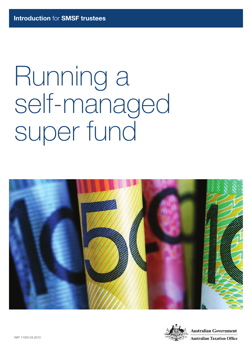# Running a self‑managed super fund



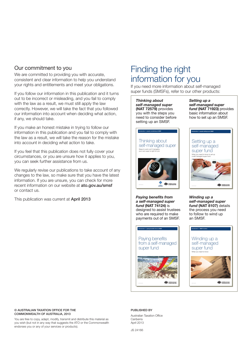#### Our commitment to you

We are committed to providing you with accurate, consistent and clear information to help you understand your rights and entitlements and meet your obligations.

If you follow our information in this publication and it turns out to be incorrect or misleading, and you fail to comply with the law as a result, we must still apply the law correctly. However, we will take the fact that you followed our information into account when deciding what action, if any, we should take.

If you make an honest mistake in trying to follow our information in this publication and you fail to comply with the law as a result, we will take the reason for the mistake into account in deciding what action to take.

If you feel that this publication does not fully cover your circumstances, or you are unsure how it applies to you, you can seek further assistance from us.

We regularly revise our publications to take account of any changes to the law, so make sure that you have the latest information. If you are unsure, you can check for more recent information on our website at **ato.gov.au/smsf** or contact us.

This publication was current at **April 2013** 

## Finding the right information for you

If you need more information about self‑managed super funds (SMSFs), refer to our other products:

*Thinking about self‑managed super* (NAT 72579) provides you with the steps you need to consider before setting up an SMSF.

Thinking about self-managed super

Steps to work out if managing your own super is right for you

Introduction for people considering an SMSF

*Setting up a self-managed super*  fund (NAT 71923) provides basic information about how to set up an SMSF.



*Paying benefits from*  a self-managed super *fund* (NAT 74124) is designed to assist trustees who are required to make payments out of an SMSF.

 $\frac{1}{\sqrt{2}}$  ,  $\frac{1}{\sqrt{2}}$  ,  $\frac{1}{\sqrt{2}}$  ,  $\frac{1}{\sqrt{2}}$  ,  $\frac{1}{\sqrt{2}}$  ,  $\frac{1}{\sqrt{2}}$  ,  $\frac{1}{\sqrt{2}}$  ,  $\frac{1}{\sqrt{2}}$  ,  $\frac{1}{\sqrt{2}}$  ,  $\frac{1}{\sqrt{2}}$  ,  $\frac{1}{\sqrt{2}}$  ,  $\frac{1}{\sqrt{2}}$  ,  $\frac{1}{\sqrt{2}}$  ,  $\frac{1}{\sqrt{2}}$  ,  $\frac{1}{\sqrt{2}}$ 

Winding up a *self‑managed super fund* (NAT 8107) details the process you need to follow to wind up an SMSF.



© AUSTRALIAN TAXATION OFFICE FOR THE COMMONWEALTH OF AUSTRALIA, 2013

You are free to copy, adapt, modify, transmit and distribute this material as you wish (but not in any way that suggests the ATO or the Commonwealth endorses you or any of your services or products).

#### PUBLISHED BY

Australian Taxation Office Canberra April 2013

JS 24166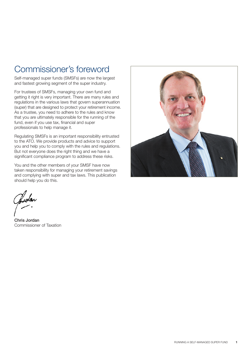## Commissioner's foreword

Self-managed super funds (SMSFs) are now the largest and fastest growing segment of the super industry.

For trustees of SMSFs, managing your own fund and getting it right is very important. There are many rules and regulations in the various laws that govern superannuation (super) that are designed to protect your retirement income. As a trustee, you need to adhere to the rules and know that you are ultimately responsible for the running of the fund, even if you use tax, financial and super professionals to help manage it.

Regulating SMSFs is an important responsibility entrusted to the ATO. We provide products and advice to support you and help you to comply with the rules and regulations. But not everyone does the right thing and we have a significant compliance program to address these risks.

You and the other members of your SMSF have now taken responsibility for managing your retirement savings and complying with super and tax laws. This publication should help you do this.

Chris Jordan Commissioner of Taxation

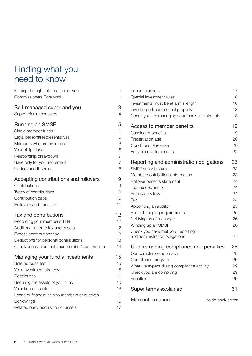## Finding what you need to know

| Finding the right information for you           | jj             |
|-------------------------------------------------|----------------|
| <b>Commissioners Foreword</b>                   | 1              |
| Self-managed super and you                      | 3              |
| Super reform measures                           | $\overline{4}$ |
| Running an SMSF                                 | 5              |
| Single member funds                             | 6              |
| Legal personal representatives                  | 6              |
| Members who are overseas                        | 6              |
| Your obligations                                | 6              |
| Relationship breakdown                          | $\overline{7}$ |
| Save only for your retirement                   | $\overline{7}$ |
| Understand the rules                            | 8              |
| Accepting contributions and rollovers           | 9              |
| Contributions                                   | 9              |
| Types of contributions                          | 9              |
| Contribution caps                               | 10             |
| Rollovers and transfers                         | 11             |
| <b>Tax and contributions</b>                    | 12             |
| Recording your member's TFN                     | 12             |
| Additional income tax and offsets               | 12             |
| Excess contributions tax                        | 13             |
| Deductions for personal contributions           | 13             |
| Check you can accept your member's contribution | 14             |
| Managing your fund's investments                | 15             |
| Sole purpose test                               | 15             |
| Your investment strategy                        | 15             |
| Restrictions                                    | 16             |
| Securing the assets of your fund                | 16             |
| Valuation of assets                             | 16             |
| Loans or financial help to members or relatives | 16             |
| <b>Borrowings</b>                               | 16             |
| Related party acquisition of assets             | 17             |
|                                                 |                |

| In-house assets                                | 17                |
|------------------------------------------------|-------------------|
| Special investment rules                       | 18                |
| Investments must be at arm's length            | 18                |
| Investing in business real property            | 18                |
| Check you are managing your fund's investments | 18                |
| Access to member benefits                      | 19                |
| Cashing of benefits                            | 19                |
| Preservation age                               | 20                |
| Conditions of release                          | 20                |
| Early access to benefits                       | 22                |
| Reporting and administration obligations       | 23                |
| SMSF annual return                             | 23                |
| Member contributions information               | 23                |
| Rollover benefits statement                    | 24                |
| Trustee declaration                            | 24                |
| Supervisory levy                               | 24                |
| Tax                                            | 24                |
| Appointing an auditor                          | 25                |
| Record-keeping requirements                    | 25                |
| Notifying us of a change                       | 26                |
| Winding up an SMSF                             | 26                |
| Check you have met your reporting              |                   |
| and administration obligations                 | 27                |
| Understanding compliance and penalties         | 28                |
| Our compliance approach                        | 28                |
| Compliance program                             | 29                |
| What we expect during compliance activity      | 29                |
| Check you are complying                        | 29                |
| Penalties                                      | 29                |
| Super terms explained                          | 31                |
| More information                               | inside back cover |
|                                                |                   |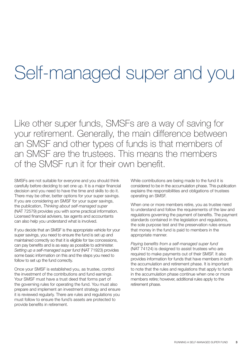## Self-managed super and you

Like other super funds, SMSFs are a way of saving for your retirement. Generally, the main difference between an SMSF and other types of funds is that members of an SMSF are the trustees. This means the members of the SMSF run it for their own benefit.

SMSFs are not suitable for everyone and you should think carefully before deciding to set one up. It is a major financial decision and you need to have the time and skills to do it. There may be other, better options for your super savings. If you are considering an SMSF for your super savings, the publication, *Thinking about self-managed super*  (NAT 72579) provides you with some practical information. Licensed financial advisers, tax agents and accountants can also help you understand what is involved.

If you decide that an SMSF is the appropriate vehicle for your super savings, you need to ensure the fund is set up and maintained correctly so that it is eligible for tax concessions, can pay benefits and is as easy as possible to administer. *Setting up a self-managed super fund* (NAT 71923) provides some basic information on this and the steps you need to follow to set up the fund correctly.

Once your SMSF is established you, as trustee, control the investment of the contributions and fund earnings. Your SMSF must have a trust deed that forms part of the governing rules for operating the fund. You must also prepare and implement an investment strategy and ensure it is reviewed regularly. There are rules and regulations you must follow to ensure the fund's assets are protected to provide benefits in retirement.

While contributions are being made to the fund it is considered to be in the accumulation phase. This publication explains the responsibilities and obligations of trustees operating an SMSF.

When one or more members retire, you as trustee need to understand and follow the requirements of the law and regulations governing the payment of benefits. The payment standards contained in the legislation and regulations, the sole purpose test and the preservation rules ensure that money in the fund is paid to members in the appropriate manner.

Paying benefits from a self-managed super fund (NAT 74124) is designed to assist trustees who are required to make payments out of their SMSF. It also provides information for funds that have members in both the accumulation and retirement phase. It is important to note that the rules and regulations that apply to funds in the accumulation phase continue when one or more members retire; however, additional rules apply to the retirement phase.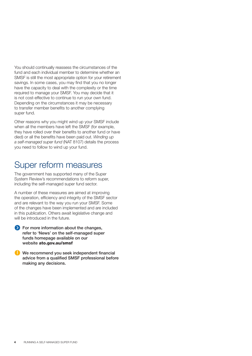You should continually reassess the circumstances of the fund and each individual member to determine whether an SMSF is still the most appropriate option for your retirement savings. In some cases, you may find that you no longer have the capacity to deal with the complexity or the time required to manage your SMSF. You may decide that it is not cost-effective to continue to run your own fund. Depending on the circumstances it may be necessary to transfer member benefits to another complying super fund.

Other reasons why you might wind up your SMSF include when all the members have left the SMSF (for example, they have rolled over their benefits to another fund or have died) or all the benefits have been paid out. *Winding up*  a self-managed super fund (NAT 8107) details the process you need to follow to wind up your fund.

## Super reform measures

The government has supported many of the Super System Review's recommendations to reform super, including the self-managed super fund sector.

A number of these measures are aimed at improving the operation, efficiency and integrity of the SMSF sector and are relevant to the way you run your SMSF. Some of the changes have been implemented and are included in this publication. Others await legislative change and will be introduced in the future.

For more information about the changes, refer to 'News' on the self-managed super funds homepage available on our website ato.gov.au/smsf

We recommend you seek independent financial advice from a qualified SMSF professional before making any decisions.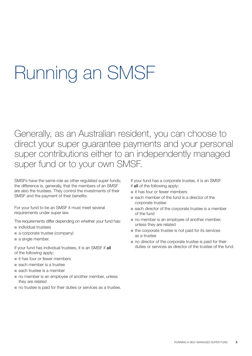## Running an SMSF

Generally, as an Australian resident, you can choose to direct your super guarantee payments and your personal super contributions either to an independently managed super fund or to your own SMSF.

SMSFs have the same role as other regulated super funds; the difference is, generally, that the members of an SMSF are also the trustees. They control the investments of their SMSF and the payment of their benefits.

For your fund to be an SMSF it must meet several requirements under super law.

- The requirements differ depending on whether your fund has:
- $\blacksquare$  individual trustees
- a corporate trustee (company)
- $\blacksquare$  a single member.

If your fund has individual trustees, it is an SMSF if all of the following apply:

- $\blacksquare$  it has four or fewer members
- $\blacksquare$  each member is a trustee
- $\blacksquare$  each trustee is a member
- no member is an employee of another member, unless they are related
- $\blacksquare$  no trustee is paid for their duties or services as a trustee.

If your fund has a corporate trustee, it is an SMSF if all of the following apply:

- $\blacksquare$  it has four or fewer members
- n each member of the fund is a director of the corporate trustee
- $\blacksquare$  each director of the corporate trustee is a member of the fund
- $\blacksquare$  no member is an employee of another member, unless they are related
- $\blacksquare$  the corporate trustee is not paid for its services as a trustee
- $\blacksquare$  no director of the corporate trustee is paid for their duties or services as director of the trustee of the fund.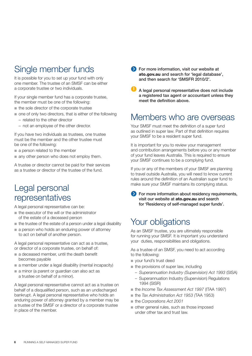## Single member funds

It is possible for you to set up your fund with only one member. The trustee of an SMSF can be either a corporate trustee or two individuals.

If your single member fund has a corporate trustee, the member must be one of the following:

- $n$  the sole director of the corporate trustee
- n one of only two directors, that is either of the following
	- related to the other director
	- not an employee of the other director.

If you have two individuals as trustees, one trustee must be the member and the other trustee must be one of the following:

- $\blacksquare$  a person related to the member
- $\blacksquare$  any other person who does not employ them.

A trustee or director cannot be paid for their services as a trustee or director of the trustee of the fund.

## Legal personal representatives

A legal personal representative can be:

- $\blacksquare$  the executor of the will or the administrator of the estate of a deceased person
- $\blacksquare$  the trustee of the estate of a person under a legal disability
- $\blacksquare$  a person who holds an enduring power of attorney to act on behalf of another person.

A legal personal representative can act as a trustee, or director of a corporate trustee, on behalf of:

- $a$  deceased member, until the death benefit becomes payable
- $\blacksquare$  a member under a legal disability (mental incapacity)
- a minor (a parent or guardian can also act as a trustee on behalf of a minor).

A legal personal representative cannot act as a trustee on behalf of a disqualified person, such as an undischarged bankrupt. A legal personal representative who holds an enduring power of attorney granted by a member may be a trustee of the SMSF or a director of a corporate trustee in place of the member.

**Solution** For more information, visit our website at ato.gov.au and search for 'legal database', and then search for 'SMSFR 2010/2'.

A legal personal representative does not include a registered tax agent or accountant unless they meet the definition above.

### Members who are overseas

Your SMSF must meet the definition of a super fund as outlined in super law. Part of that definition requires your SMSF to be a resident super fund.

It is important for you to review your management and contribution arrangements before you or any member of your fund leaves Australia. This is required to ensure your SMSF continues to be a complying fund.

If you or any of the members of your SMSF are planning to travel outside Australia, you will need to know current rules around the definition of an Australian super fund to make sure your SMSF maintains its complying status.

**For more information about residency requirements.** visit our website at ato.gov.au and search for 'Residency of self-managed super funds'.

## Your obligations

As an SMSF trustee, you are ultimately responsible for running your SMSF. It is important you understand your duties, responsibilities and obligations.

As a trustee of an SMSF, you need to act according to the following:

- vour fund's trust deed
- $\blacksquare$  the provisions of super law, including
	- *Superannuation Industry (Supervision) Act 1993* (SISA)
	- Superannuation Industry (Supervision) Regulations 1994 (SISR)
- n the *Income Tax Assessment Act 1997* (ITAA 1997)
- n the *Tax Administration Act 1953 (*TAA 1953)
- the *Corporations Act 2001*
- $\blacksquare$  other general rules, such as those imposed under other tax and trust law.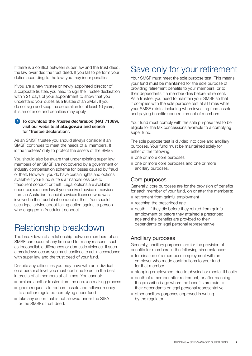If there is a conflict between super law and the trust deed, the law overrides the trust deed. If you fail to perform your duties according to the law, you may incur penalties.

If you are a new trustee or newly appointed director of a corporate trustee, you need to sign the Trustee declaration within 21 days of your appointment to show that you understand your duties as a trustee of an SMSF. If you do not sign and keep the declaration for at least 10 years, it is an offence and penalties may apply.

#### To download the *Trustee declaration* (NAT 71089), visit our website at ato.gov.au and search for 'Trustee declaration'.

As an SMSF trustee you should always consider if an SMSF continues to meet the needs of all members. It is the trustees' duty to protect the assets of the SMSF.

You should also be aware that under existing super law, members of an SMSF are not covered by a government or industry compensation scheme for losses caused by fraud or theft. However, you do have certain rights and options available if your fund suffers a financial loss due to fraudulent conduct or theft. Legal options are available under corporations law if you received advice or services from an Australian financial services licensee who was involved in the fraudulent conduct or theft. You should seek legal advice about taking action against a person who engaged in fraudulent conduct.

## Relationship breakdown

The breakdown of a relationship between members of an SMSF can occur at any time and for many reasons, such as irreconcilable differences or domestic violence. If such a breakdown occurs you must continue to act in accordance with super law and the trust deed of your fund.

Despite any difficulties you may have with an individual on a personal level you must continue to act in the best interests of all members at all times. You cannot:

- n exclude another trustee from the decision making process
- gian ignore requests to redeem assets and rollover money to another regulated complying super fund
- $\blacksquare$  take any action that is not allowed under the SISA or the SMSF's trust deed.

## Save only for your retirement

Your SMSF must meet the sole purpose test. This means your fund must be maintained for the sole purpose of providing retirement benefits to your members, or to their dependants if a member dies before retirement. As a trustee, you need to maintain your SMSF so that it complies with the sole purpose test at all times while your SMSF exists, including when investing fund assets and paying benefits upon retirement of members.

Your fund must comply with the sole purpose test to be eligible for the tax concessions available to a complying super fund.

The sole purpose test is divided into core and ancillary purposes. Your fund must be maintained solely for either of the following:

- n one or more core purposes
- $\blacksquare$  one or more core purposes and one or more ancillary purposes.

#### Core purposes

Generally, core purposes are for the provision of benefits for each member of your fund, on or after the member's:

- retirement from gainful employment
- $\blacksquare$  reaching the prescribed age
- $\blacksquare$  death if they die before they retired from gainful employment or before they attained a prescribed age and the benefits are provided to their dependants or legal personal representative.

#### Ancillary purposes

Generally, ancillary purposes are for the provision of benefits for members in the following circumstances:

- **n** termination of a member's employment with an employer who made contributions to your fund for that member
- stopping employment due to physical or mental ill health
- n death of a member after retirement, or after reaching the prescribed age where the benefits are paid to their dependants or legal personal representative
- other ancillary purposes approved in writing by the regulator.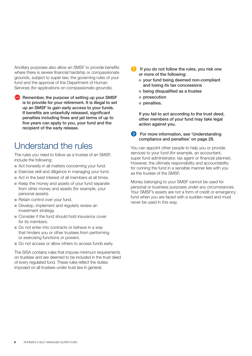Ancillary purposes also allow an SMSF to provide benefits where there is severe financial hardship or compassionate grounds, subject to super law, the governing rules of your fund and the approval of the Department of Human Services (for applications on compassionate grounds).

Remember, the purpose of setting up your SMSF is to provide for your retirement. It is illegal to set up an SMSF to gain early access to your funds. If benefits are unlawfully released, significant penalties including fines and jail terms of up to five years can apply to you, your fund and the recipient of the early release.

## Understand the rules

The rules you need to follow as a trustee of an SMSF, include the following:

- $\blacksquare$  Act honestly in all matters concerning your fund.
- Exercise skill and diligence in managing your fund.
- $\blacksquare$  Act in the best interest of all members at all times.
- $\blacksquare$  Keep the money and assets of your fund separate from other money and assets (for example, your personal assets).
- Retain control over your fund.
- Develop, implement and regularly review an investment strategy.
- n Consider if the fund should hold insurance cover for its members.
- Do not enter into contracts or behave in a way that hinders you or other trustees from performing or exercising functions or powers.
- Do not access or allow others to access funds early.

The SISA contains rules that impose minimum requirements on trustees and are deemed to be included in the trust deed of every regulated fund. These rules reflect the duties imposed on all trustees under trust law in general.

- If you do not follow the rules, you risk one or more of the following:
	- vour fund being deemed non-compliant and losing its tax concessions
	- $\blacksquare$  being disqualified as a trustee
	- $n$  prosecution
	- $n$  penalties.

If you fail to act according to the trust deed, other members of your fund may take legal action against you.

**S** For more information, see 'Understanding compliance and penalties' on page 28.

You can appoint other people to help you or provide services to your fund (for example, an accountant, super fund administrator, tax agent or financial planner). However, the ultimate responsibility and accountability for running the fund in a sensible manner lies with you as the trustee of the SMSF.

Money belonging to your SMSF cannot be used for personal or business purposes under any circumstances. Your SMSF's assets are not a form of credit or emergency fund when you are faced with a sudden need and must never be used in this way.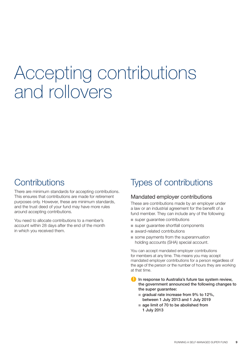## Accepting contributions and rollovers

## **Contributions**

There are minimum standards for accepting contributions. This ensures that contributions are made for retirement purposes only. However, these are minimum standards, and the trust deed of your fund may have more rules around accepting contributions.

You need to allocate contributions to a member's account within 28 days after the end of the month in which you received them.

## Types of contributions

#### Mandated employer contributions

These are contributions made by an employer under a law or an industrial agreement for the benefit of a fund member. They can include any of the following:

- super quarantee contributions
- super guarantee shortfall components
- award-related contributions
- $\blacksquare$  some payments from the superannuation holding accounts (SHA) special account.

You can accept mandated employer contributions for members at any time. This means you may accept mandated employer contributions for a person regardless of the age of the person or the number of hours they are working at that time.

- In response to Australia's future tax system review, the government announced the following changes to the super guarantee:
	- $\blacksquare$  gradual rate increase from 9% to 12%, between 1 July 2013 and 1 July 2019
	- $a$  age limit of 70 to be abolished from 1 July 2013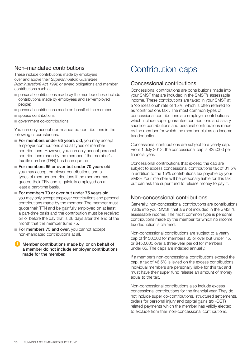#### Non–mandated contributions

These include contributions made by employers over and above their *Superannuation Guarantee (Administration) Act 1992* or award obligations and member contributions such as:

- n personal contributions made by the member (these include contributions made by employees and self-employed people)
- $n$  personal contributions made on behalf of the member
- $\blacksquare$  spouse contributions
- n government co-contributions.

You can only accept non-mandated contributions in the following circumstances:

- For members under 65 years old, you may accept employer contributions and all types of member contributions. However, you can only accept personal contributions made by the member if the member's tax file number (TFN) has been quoted.
- $\blacksquare$  For members 65 or over but under 70 years old, you may accept employer contributions and all types of member contributions if the member has quoted their TFN and is gainfully employed on at least a part-time basis.
- $\blacksquare$  For members 70 or over but under 75 years old, you may only accept employer contributions and personal contributions made by the member. The member must quote their TFN and be gainfully employed on at least a part-time basis and the contribution must be received on or before the day that is 28 days after the end of the month that the member turns 75.
- For members 75 and over, you cannot accept non-mandated contributions at all.
- **Member contributions made by, or on behalf of** a member do not include employer contributions made for the member.

## Contribution caps

#### Concessional contributions

Concessional contributions are contributions made into your SMSF that are included in the SMSF's assessable income. These contributions are taxed in your SMSF at a 'concessional' rate of 15%, which is often referred to as 'contributions tax'. The most common types of concessional contributions are employer contributions which include super guarantee contributions and salary sacrifice contributions and personal contributions made by the member for which the member claims an income tax deduction.

Concessional contributions are subject to a yearly cap. From 1 July 2012, the concessional cap is \$25,000 per financial year.

Concessional contributions that exceed the cap are subject to excess concessional contributions tax of 31.5% in addition to the 15% contributions tax payable by your SMSF. Your member will be personally liable for this tax but can ask the super fund to release money to pay it.

#### Non-concessional contributions

Generally, non-concessional contributions are contributions made into your SMSF that are not included in the SMSF's assessable income. The most common type is personal contributions made by the member for which no income tax deduction is claimed.

Non-concessional contributions are subject to a yearly cap of \$150,000 for members 65 or over but under 75, or \$450,000 over a three-year period for members under 65. The caps are indexed annually.

If a member's non-concessional contributions exceed the cap, a tax of 46.5% is levied on the excess contributions. Individual members are personally liable for this tax and must have their super fund release an amount of money equal to the tax.

Non-concessional contributions also include excess concessional contributions for the financial year. They do not include super co-contributions, structured settlements, orders for personal injury and capital gains tax (CGT) related payments which the member has validly elected to exclude from their non-concessional contributions.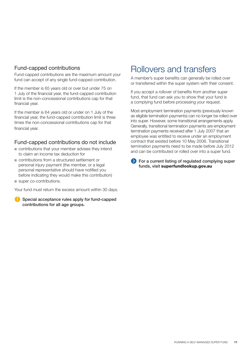#### Fund-capped contributions

Fund-capped contributions are the maximum amount your fund can accept of any single fund-capped contribution.

If the member is 65 years old or over but under 75 on 1 July of the financial year, the fund-capped contribution limit is the non-concessional contributions cap for that financial year.

If the member is 64 years old or under on 1 July of the financial year, the fund-capped contribution limit is three times the non-concessional contributions cap for that financial year.

#### Fund-capped contributions do not include

- n contributions that your member advises they intend to claim an income tax deduction for
- contributions from a structured settlement or personal injury payment (the member, or a legal) personal representative should have notified you before indicating they would make this contribution)
- super co-contributions.

Your fund must return the excess amount within 30 days.

Special acceptance rules apply for fund-capped contributions for all age groups.

## Rollovers and transfers

A member's super benefits can generally be rolled over or transferred within the super system with their consent.

If you accept a rollover of benefits from another super fund, that fund can ask you to show that your fund is a complying fund before processing your request.

Most employment termination payments (previously known as eligible termination payments) can no longer be rolled over into super. However, some transitional arrangements apply. Generally, transitional termination payments are employment termination payments received after 1 July 2007 that an employee was entitled to receive under an employment contract that existed before 10 May 2006. Transitional termination payments need to be made before July 2012 and can be contributed or rolled over into a super fund.

For a current listing of regulated complying super funds, visit superfundlookup.gov.au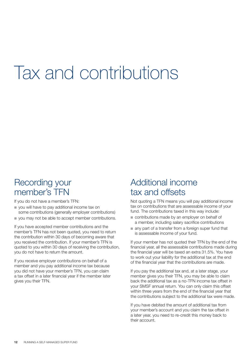## Tax and contributions

## Recording your member's TFN

If you do not have a member's TFN:

- vou will have to pay additional income tax on some contributions (generally employer contributions)
- vou may not be able to accept member contributions.

If you have accepted member contributions and the member's TFN has not been quoted, you need to return the contribution within 30 days of becoming aware that you received the contribution. If your member's TFN is quoted to you within 30 days of receiving the contribution, you do not have to return the amount.

If you receive employer contributions on behalf of a member and you pay additional income tax because you did not have your member's TFN, you can claim a tax offset in a later financial year if the member later gives you their TFN.

## Additional income tax and offsets

Not quoting a TFN means you will pay additional income tax on contributions that are assessable income of your fund. The contributions taxed in this way include:

- $\blacksquare$  contributions made by an employer on behalf of a member, including salary sacrifice contributions
- n any part of a transfer from a foreign super fund that is assessable income of your fund.

If your member has not quoted their TFN by the end of the financial year, all the assessable contributions made during the financial year will be taxed an extra 31.5%. You have to work out your liability for the additional tax at the end of the financial year that the contributions are made.

If you pay the additional tax and, at a later stage, your member gives you their TFN, you may be able to claim back the additional tax as a no-TFN income tax offset in your SMSF annual return. You can only claim this offset within three years from the end of the financial year that the contributions subject to the additional tax were made.

If you have debited the amount of additional tax from your member's account and you claim the tax offset in a later year, you need to re-credit this money back to their account.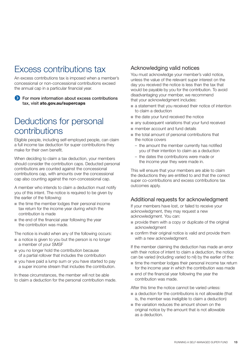## Excess contributions tax

An excess contributions tax is imposed when a member's concessional or non-concessional contributions exceed the annual cap in a particular financial year.

For more information about excess contributions tax, visit ato.gov.au/supercaps

### Deductions for personal contributions

Eligible people, including self-employed people, can claim a full income tax deduction for super contributions they make for their own benefit.

When deciding to claim a tax deduction, your members should consider the contribution caps. Deducted personal contributions are counted against the concessional contributions cap, with amounts over the concessional cap also counting against the non-concessional cap.

A member who intends to claim a deduction must notify you of this intent. The notice is required to be given by the earlier of the following:

- n the time the member lodges their personal income tax return for the income year during which the contribution is made
- $n$  the end of the financial year following the year the contribution was made.

The notice is invalid when any of the following occurs:

- $\blacksquare$  a notice is given to you but the person is no longer a member of your SMSF
- $\blacksquare$  you no longer hold the contribution because of a partial rollover that includes the contribution
- vou have paid a lump sum or you have started to pay a super income stream that includes the contribution.

In these circumstances, the member will not be able to claim a deduction for the personal contribution made.

#### Acknowledging valid notices

You must acknowledge your member's valid notice, unless the value of the relevant super interest on the day you received the notice is less than the tax that would be payable by you for the contribution. To avoid disadvantaging your member, we recommend that your acknowledgment includes:

- a statement that you received their notice of intention to claim a deduction
- $n$  the date your fund received the notice
- n any subsequent variations that your fund received
- member account and fund details
- $\blacksquare$  the total amount of personal contributions that the notice covers
	- the amount the member currently has notified you of their intention to claim as a deduction
	- the dates the contributions were made or the income year they were made in.

This will ensure that your members are able to claim the deductions they are entitled to and that the correct super co-contributions and excess contributions tax outcomes apply.

#### Additional requests for acknowledgment

If your members have lost, or failed to receive your acknowledgment, they may request a new acknowledgment. You can:

- $\blacksquare$  provide them with a copy or duplicate of the original acknowledgment
- $\blacksquare$  confirm their original notice is valid and provide them with a new acknowledgment.

If the member claiming the deduction has made an error with their notice of intent to claim a deduction, the notice can be varied (including varied to nil) by the earlier of the:

- n time the member lodges their personal income tax return for the income year in which the contribution was made
- $\blacksquare$  end of the financial year following the year the contribution was made.

After this time the notice cannot be varied unless:

- $\blacksquare$  a deduction for the contributions is not allowable (that is, the member was ineligible to claim a deduction)
- $n$  the variation reduces the amount shown on the original notice by the amount that is not allowable as a deduction.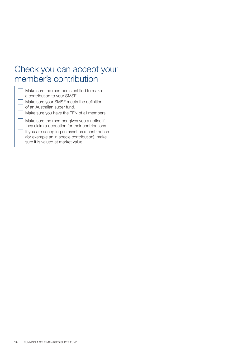## Check you can accept your member's contribution

| Make sure the member is entitled to make<br>a contribution to your SMSF.                                                               |
|----------------------------------------------------------------------------------------------------------------------------------------|
| Make sure your SMSF meets the definition<br>of an Australian super fund.                                                               |
| Make sure you have the TFN of all members.                                                                                             |
| Make sure the member gives you a notice if<br>they claim a deduction for their contributions.                                          |
| If you are accepting an asset as a contribution<br>(for example an in specie contribution), make<br>sure it is valued at market value. |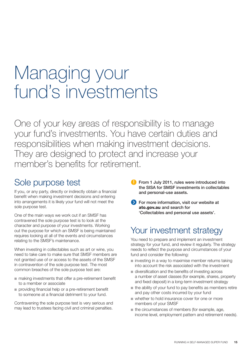## Managing your fund's investments

One of your key areas of responsibility is to manage your fund's investments. You have certain duties and responsibilities when making investment decisions. They are designed to protect and increase your member's benefits for retirement.

## Sole purpose test

If you, or any party, directly or indirectly obtain a financial benefit when making investment decisions and entering into arrangements it is likely your fund will not meet the sole purpose test.

One of the main ways we work out if an SMSF has contravened the sole purpose test is to look at the character and purpose of your investments. Working out the purpose for which an SMSF is being maintained requires looking at all of the events and circumstances relating to the SMSF's maintenance.

When investing in collectables such as art or wine, you need to take care to make sure that SMSF members are not granted use of or access to the assets of the SMSF in contravention of the sole purpose test. The most common breaches of the sole purpose test are:

- n making investments that offer a pre-retirement benefit to a member or associate
- n providing financial help or a pre-retirement benefit to someone at a financial detriment to your fund.

Contravening the sole purpose test is very serious and may lead to trustees facing civil and criminal penalties.

- From 1 July 2011, rules were introduced into the SISA for SMSF investments in collectables and personal-use assets.
- **EX** For more information, visit our website at ato.gov.au and search for 'Collectables and personal use assets'.

## Your investment strategy

You need to prepare and implement an investment strategy for your fund, and review it regularly. The strategy needs to reflect the purpose and circumstances of your fund and consider the following:

- $\blacksquare$  investing in a way to maximise member returns taking into account the risk associated with the investment
- n diversification and the benefits of investing across a number of asset classes (for example, shares, property and fixed deposit) in a long-term investment strategy
- $\blacksquare$  the ability of your fund to pay benefits as members retire and pay other costs incurred by your fund
- whether to hold insurance cover for one or more members of your SMSF
- $\blacksquare$  the circumstances of members (for example, age, income level, employment pattern and retirement needs).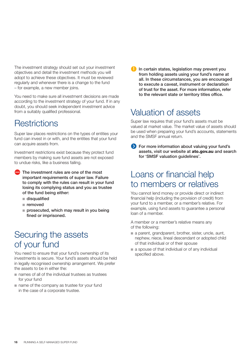The investment strategy should set out your investment objectives and detail the investment methods you will adopt to achieve these objectives. It must be reviewed regularly and whenever there is a change to the fund – for example, a new member joins.

You need to make sure all investment decisions are made according to the investment strategy of your fund. If in any doubt, you should seek independent investment advice from a suitably qualified professional.

## **Restrictions**

Super law places restrictions on the types of entities your fund can invest in or with, and the entities that your fund can acquire assets from.

Investment restrictions exist because they protect fund members by making sure fund assets are not exposed to undue risks, like a business failing.

- The investment rules are one of the most important requirements of super law. Failure to comply with the rules can result in your fund losing its complying status and you as trustee of the fund being either:
	- $\blacksquare$  disqualified
	- $n$  removed
	- $n$  prosecuted, which may result in you being fined or imprisoned.

## Securing the assets of your fund

You need to ensure that your fund's ownership of its investments is secure. Your fund's assets should be held in legally recognised ownership arrangement. We prefer the assets to be in either the:

- names of all of the individual trustees as trustees for your fund
- $\blacksquare$  name of the company as trustee for your fund in the case of a corporate trustee.

**In certain states, legislation may prevent you** from holding assets using your fund's name at all. In these circumstances, you are encouraged to execute a caveat, instrument or declaration of trust for the asset. For more information, refer to the relevant state or territory titles office.

## Valuation of assets

Super law requires that your fund's assets must be valued at market value. The market value of assets should be used when preparing your fund's accounts, statements and the SMSF annual return.

For more information about valuing your fund's assets, visit our website at ato.gov.au and search for 'SMSF valuation guidelines'.

## Loans or financial help to members or relatives

You cannot lend money or provide direct or indirect financial help (including the provision of credit) from your fund to a member, or a member's relative. For example, using fund assets to guarantee a personal loan of a member.

A member or a member's relative means any of the following:

- $\blacksquare$  a parent, grandparent, brother, sister, uncle, aunt, nephew, niece, lineal descendant or adopted child of that individual or of their spouse
- $\blacksquare$  a spouse of that individual or of any individual specified above.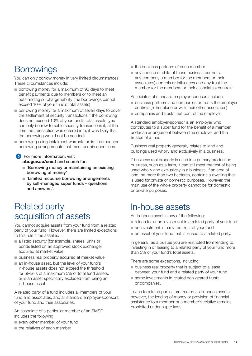## **Borrowings**

You can only borrow money in very limited circumstances. These circumstances include:

- **n** borrowing money for a maximum of 90 days to meet benefit payments due to members or to meet an outstanding surcharge liability (the borrowings cannot exceed 10% of your fund's total assets)
- n borrowing money for a maximum of seven days to cover the settlement of security transactions if the borrowing does not exceed 10% of your fund's total assets (you can only borrow to settle security transactions if, at the time the transaction was entered into, it was likely that the borrowing would not be needed)
- **n** borrowing using instalment warrants or limited recourse borrowing arrangements that meet certain conditions.

#### **S** For more information, visit ato.gov.au/smsf and search for:

- $\blacksquare$  'Borrowing money or maintaining an existing borrowing of money'
- $\blacksquare$  'Limited recourse borrowing arrangements by self-managed super funds – questions and answers'.

## Related party acquisition of assets

You cannot acquire assets from your fund from a related party of your fund. However, there are limited exceptions to this rule if the asset is:

- $\blacksquare$  a listed security (for example, shares, units or bonds listed on an approved stock exchange) acquired at market value
- $\blacksquare$  business real property acquired at market value
- n an in-house asset, but the level of your fund's in‑house assets does not exceed the threshold for SMSFs of a maximum 5% of total fund assets, or is an asset specifically excluded from being an in-house asset.

A related party of a fund includes all members of your fund and associates, and all standard employer-sponsors of your fund and their associates.

An associate of a particular member of an SMSF includes the following:

- **n** every other member of your fund
- $n$  the relatives of each member
- $\blacksquare$  the business partners of each member
- n any spouse or child of those business partners, any company a member (or the members or their associates) controls or influences and any trust the member (or the members or their associates) controls.

Associates of standard employer-sponsors include:

- n business partners and companies or trusts the employer controls (either alone or with their other associates)
- $\blacksquare$  companies and trusts that control the employer.

A standard employer-sponsor is an employer who contributes to a super fund for the benefit of a member, under an arrangement between the employer and the trustee of a fund.

Business real property generally relates to land and buildings used wholly and exclusively in a business.

If business real property is used in a primary production business, such as a farm, it can still meet the test of being used wholly and exclusively in a business, if an area of land, no more than two hectares, contains a dwelling that is used for private or domestic purposes. However, the main use of the whole property cannot be for domestic or private purposes.

## In-house assets

An in-house asset is any of the following:

- a loan to, or an investment in a related party of your fund
- $\blacksquare$  an investment in a related trust of your fund
- $\blacksquare$  an asset of your fund that is leased to a related party.

In general, as a trustee you are restricted from lending to, investing in or leasing to a related party of your fund more than 5% of your fund's total assets.

There are some exceptions, including:

- **n** business real property that is subject to a lease between your fund and a related party of your fund
- some investments in related non-geared trusts or companies.

Loans to related parties are treated as in-house assets, however, the lending of money or provision of financial assistance to a member or a member's relative remains prohibited under super laws.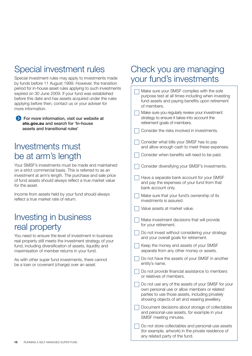## Special investment rules

Special investment rules may apply to investments made by funds before 11 August 1999. However, the transition period for in-house asset rules applying to such investments expired on 30 June 2009. If your fund was established before this date and has assets acquired under the rules applying before then, contact us or your adviser for more information.

**S** For more information, visit our website at ato.gov.au and search for 'In-house assets and transitional rules'

## Investments must be at arm's length

Your SMSF's investments must be made and maintained on a strict commercial basis. This is referred to as an investment at arm's length. The purchase and sale price of fund assets should always reflect a true market value for the asset.

Income from assets held by your fund should always reflect a true market rate of return.

## Investing in business real property

You need to ensure the level of investment in business real property still meets the investment strategy of your fund, including diversification of assets, liquidity and maximisation of member returns in your fund.

As with other super fund investments, there cannot be a loan or covenant (charge) over an asset.

## Check you are managing your fund's investments

| Make sure your SMSF complies with the sole<br>purpose test at all times including when investing<br>fund assets and paying benefits upon retirement<br>of members.                                      |
|---------------------------------------------------------------------------------------------------------------------------------------------------------------------------------------------------------|
| Make sure you regularly review your investment<br>strategy to ensure it takes into account the<br>retirement goals of members.                                                                          |
| Consider the risks involved in investments.                                                                                                                                                             |
| Consider what bills your SMSF has to pay<br>and allow enough cash to meet these expenses.                                                                                                               |
| Consider when benefits will need to be paid.                                                                                                                                                            |
| Consider diversifying your SMSF's investments.                                                                                                                                                          |
| Have a separate bank account for your SMSF<br>and pay the expenses of your fund from that<br>bank account only.                                                                                         |
| Make sure that your fund's ownership of its<br>investments is assured.                                                                                                                                  |
| Value assets at market value.                                                                                                                                                                           |
| Make investment decisions that will provide<br>for your retirement.                                                                                                                                     |
| Do not invest without considering your strategy<br>and your overall goals for retirement.                                                                                                               |
| Keep the money and assets of your SMSF<br>separate from any other money or assets.                                                                                                                      |
| Do not have the assets of your SMSF in another<br>entity's name.                                                                                                                                        |
| Do not provide financial assistance to members<br>or relatives of members                                                                                                                               |
| Do not use any of the assets of your SMSF for your<br>own personal use or allow members or related<br>parties to use those assets, including privately<br>showing objects of art and wearing jewellery. |
| Document decisions about storage of collectables<br>and personal-use assets, for example in your<br>SMSF meeting minutes.                                                                               |
| Do not store collectables and personal-use assets<br>(for example, artwork) in the private residence of<br>any related party of the fund.                                                               |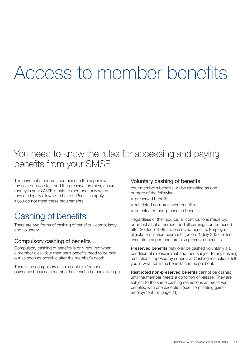## Access to member benefits

## You need to know the rules for accessing and paying benefits from your SMSF.

The payment standards contained in the super laws, the sole purpose test and the preservation rules, ensure money in your SMSF is paid to members only when they are legally allowed to have it. Penalties apply if you do not meet these requirements.

## Cashing of benefits

There are two forms of cashing of benefits – compulsory and voluntary.

#### Compulsory cashing of benefits

Compulsory cashing of benefits is only required when a member dies. Your member's benefits need to be paid out as soon as possible after the member's death.

There is no compulsory cashing out rule for super payments because a member has reached a particular age.

#### Voluntary cashing of benefits

Your member's benefits will be classified as one or more of the following:

- $n$  preserved benefits
- restricted non-preserved benefits
- n unrestricted non-preserved benefits.

Regardless of their source, all contributions made by, or on behalf of a member and all earnings for the period after 30 June 1999 are preserved benefits. Employer eligible termination payments (before 1 July 2007) rolled over into a super fund, are also preserved benefits.

Preserved benefits may only be cashed voluntarily if a condition of release is met and then subject to any cashing restrictions imposed by super law. Cashing restrictions tell you in what form the benefits can be paid out.

Restricted non-preserved benefits cannot be cashed until the member meets a condition of release. They are subject to the same cashing restrictions as preserved benefits, with one exception (see 'Terminating gainful employment' on page 21).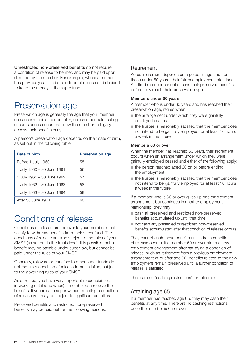Unrestricted non-preserved benefits do not require a condition of release to be met, and may be paid upon demand by the member. For example, where a member has previously satisfied a condition of release and decided to keep the money in the super fund.

## Preservation age

Preservation age is generally the age that your member can access their super benefits, unless other extenuating circumstances occur that allow the member to legally access their benefits early.

A person's preservation age depends on their date of birth, as set out in the following table.

| Date of birth              | <b>Preservation age</b> |
|----------------------------|-------------------------|
| Before 1 July 1960         | 55                      |
| 1 July 1960 - 30 June 1961 | 56                      |
| 1 July 1961 – 30 June 1962 | 57                      |
| 1 July 1962 - 30 June 1963 | 58                      |
| 1 July 1963 – 30 June 1964 | 59                      |
| After 30 June 1964         |                         |

## Conditions of release

Conditions of release are the events your member must satisfy to withdraw benefits from their super fund. The conditions of release are also subject to the rules of your SMSF (as set out in the trust deed). It is possible that a benefit may be payable under super law, but cannot be paid under the rules of your SMSF.

Generally, rollovers or transfers to other super funds do not require a condition of release to be satisfied, subject to the governing rules of your SMSF.

As a trustee, you have very important responsibilities in working out if (and when) a member can receive their benefits. If you release super without meeting a condition of release you may be subject to significant penalties.

Preserved benefits and restricted non-preserved benefits may be paid out for the following reasons:

#### Retirement

Actual retirement depends on a person's age and, for those under 60 years, their future employment intentions. A retired member cannot access their preserved benefits before they reach their preservation age.

#### Members under 60 years

A member who is under 60 years and has reached their preservation age, retires when:

- $\blacksquare$  the arrangement under which they were gainfully employed ceases
- n the trustee is reasonably satisfied that the member does not intend to be gainfully employed for at least 10 hours a week in the future.

#### Members 60 or over

When the member has reached 60 years, their retirement occurs when an arrangement under which they were gainfully employed ceased and either of the following apply:

- $\blacksquare$  the person reached aged 60 on or before ending the employment
- $\blacksquare$  the trustee is reasonably satisfied that the member does not intend to be gainfully employed for at least 10 hours a week in the future.

If a member who is 60 or over gives up one employment arrangement but continues in another employment relationship, they may:

- cash all preserved and restricted non-preserved benefits accumulated up until that time
- not cash any preserved or restricted non-preserved benefits accumulated after that condition of release occurs.

They cannot cash those benefits until a fresh condition of release occurs. If a member 60 or over starts a new employment arrangement after satisfying a condition of release, such as retirement from a previous employment arrangement at or after age 60, benefits related to the new employment remain preserved until a further condition of release is satisfied.

There are no 'cashing restrictions' for retirement.

#### Attaining age 65

If a member has reached age 65, they may cash their benefits at any time. There are no cashing restrictions once the member is 65 or over.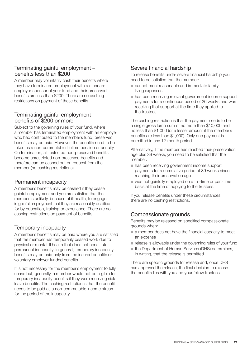#### Terminating gainful employment – benefits less than \$200

A member may voluntarily cash their benefits where they have terminated employment with a standard employer‑sponsor of your fund and their preserved benefits are less than \$200. There are no cashing restrictions on payment of these benefits.

#### Terminating gainful employment – benefits of \$200 or more

Subject to the governing rules of your fund, where a member has terminated employment with an employer who had contributed to the member's fund, preserved benefits may be paid. However, the benefits need to be taken as a non-commutable lifetime pension or annuity. On termination, all restricted non-preserved benefits become unrestricted non-preserved benefits and therefore can be cashed out on request from the member (no cashing restrictions).

#### Permanent incapacity

A member's benefits may be cashed if they cease gainful employment and you are satisfied that the member is unlikely, because of ill health, to engage in gainful employment that they are reasonably qualified for by education, training or experience. There are no cashing restrictions on payment of benefits.

#### Temporary incapacity

A member's benefits may be paid where you are satisfied that the member has temporarily ceased work due to physical or mental ill health that does not constitute permanent incapacity. In general, temporary incapacity benefits may be paid only from the insured benefits or voluntary employer funded benefits.

It is not necessary for the member's employment to fully cease but, generally, a member would not be eligible for temporary incapacity benefits if they were receiving sick leave benefits. The cashing restriction is that the benefit needs to be paid as a non-commutable income stream for the period of the incapacity.

#### Severe financial hardship

To release benefits under severe financial hardship you need to be satisfied that the member:

- cannot meet reasonable and immediate family living expenses
- n has been receiving relevant government income support payments for a continuous period of 26 weeks and was receiving that support at the time they applied to the trustees.

The cashing restriction is that the payment needs to be a single gross lump sum of no more than \$10,000 and no less than \$1,000 (or a lesser amount if the member's benefits are less than \$1,000). Only one payment is permitted in any 12-month period.

Alternatively, if the member has reached their preservation age plus 39 weeks, you need to be satisfied that the member:

- n has been receiving government income support payments for a cumulative period of 39 weeks since reaching their preservation age
- $\blacksquare$  was not gainfully employed on a full-time or part-time basis at the time of applying to the trustees.

If you release benefits under these circumstances, there are no cashing restrictions.

#### Compassionate grounds

Benefits may be released on specified compassionate grounds when:

- n a member does not have the financial capacity to meet an expense
- n release is allowable under the governing rules of your fund
- $\blacksquare$  the Department of Human Services (DHS) determines, in writing, that the release is permitted.

There are specific grounds for release and, once DHS has approved the release, the final decision to release the benefits lies with you and your fellow trustees.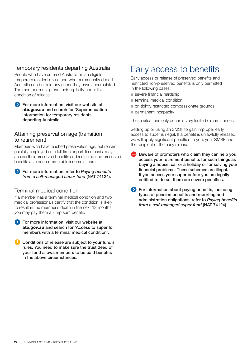#### Temporary residents departing Australia

People who have entered Australia on an eligible temporary resident's visa and who permanently depart Australia can be paid any super they have accumulated. The member must prove their eligibility under this condition of release.

**S** For more information, visit our website at ato.gov.au and search for 'Superannuation information for temporary residents departing Australia'.

#### Attaining preservation age (transition to retirement)

Members who have reached preservation age, but remain gainfully employed on a full-time or part-time basis, may access their preserved benefits and restricted non-preserved benefits as a non-commutable income stream.

For more information, refer to *Paying benefits from a self‑managed super fund* (NAT 74124).

#### Terminal medical condition

If a member has a terminal medical condition and two medical professionals certify that the condition is likely to result in the member's death in the next 12 months, you may pay them a lump sum benefit.

- **For more information, visit our website at** ato.gov.au and search for 'Access to super for members with a terminal medical condition'.
- Conditions of release are subject to your fund's rules. You need to make sure the trust deed of your fund allows members to be paid benefits in the above circumstances.

## Early access to benefits

Early access or release of preserved benefits and restricted non-preserved benefits is only permitted in the following cases:

- $\blacksquare$  severe financial hardship
- terminal medical condition
- on tightly restricted compassionate grounds
- permanent incapacity.

These situations only occur in very limited circumstances.

Setting up or using an SMSF to gain improper early access to super is illegal. If a benefit is unlawfully released, we will apply significant penalties to you, your SMSF and the recipient of the early release.

- Beware of promoters who claim they can help you access your retirement benefits for such things as buying a house, car or a holiday or for solving your financial problems. These schemes are illegal. If you access your super before you are legally entitled to do so, there are severe penalties.
- **S** For information about paying benefits, including types of pension benefits and reporting and administration obligations, refer to *Paying benefits from a self‑managed super fund* (NAT 74124).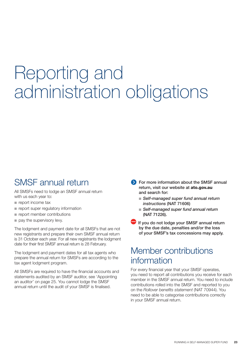## Reporting and administration obligations

## SMSF annual return

All SMSFs need to lodge an SMSF annual return with us each year to:

- $\blacksquare$  report income tax
- $\blacksquare$  report super regulatory information
- $n$  report member contributions
- $\blacksquare$  pay the supervisory levy.

The lodgment and payment date for all SMSFs that are not new registrants and prepare their own SMSF annual return is 31 October each year. For all new registrants the lodgment date for their first SMSF annual return is 28 February.

The lodgment and payment dates for all tax agents who prepare the annual return for SMSFs are according to the tax agent lodgment program.

All SMSFs are required to have the financial accounts and statements audited by an SMSF auditor, see 'Appointing an auditor' on page 25. You cannot lodge the SMSF annual return until the audit of your SMSF is finalised.

- **Solution** For more information about the SMSF annual return, visit our website at ato.gov.au and search for:
	- *Self-managed super fund annual return instructions* (NAT 71606)
	- *Self-managed super fund annual return* (NAT 71226).
- $\blacksquare$  If you do not lodge your SMSF annual return by the due date, penalties and/or the loss of your SMSF's tax concessions may apply.

## Member contributions information

For every financial year that your SMSF operates, you need to report all contributions you receive for each member in the SMSF annual return. You need to include contributions rolled into the SMSF and reported to you on the Rollover benefits statement (NAT 70944). You need to be able to categorise contributions correctly in your SMSF annual return.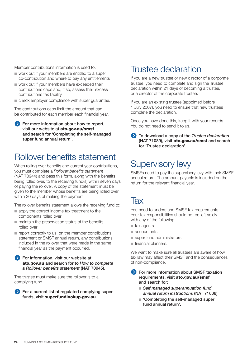Member contributions information is used to:

- n work out if your members are entitled to a super co-contribution and where to pay any entitlements
- $\blacksquare$  work out if your members have exceeded their contributions caps and, if so, assess their excess contributions tax liability
- n check employer compliance with super quarantee.

The contributions caps limit the amount that can be contributed for each member each financial year.

**For more information about how to report,** visit our website at ato.gov.au/smsf and search for 'Completing the self-managed super fund annual return'.

## Rollover benefits statement

When rolling over benefits and current year contributions, you must complete a Rollover benefits statement (NAT 70944) and pass this form, along with the benefits being rolled over, to the receiving fund(s) within seven days of paying the rollover. A copy of the statement must be given to the member whose benefits are being rolled over within 30 days of making the payment.

The rollover benefits statement allows the receiving fund to:

- $\blacksquare$  apply the correct income tax treatment to the components rolled over
- $n$  maintain the preservation status of the benefits rolled over
- $\blacksquare$  report correctly to us, on the member contributions statement or SMSF annual return, any contributions included in the rollover that were made in the same financial year as the payment occurred.
- **Solution** For information, visit our website at ato.gov.au and search for to How to complete a Rollover benefits statement (NAT 70945).

The trustee must make sure the rollover is to a complying fund.

**EXT** For a current list of regulated complying super funds, visit superfundlookup.gov.au

### Trustee declaration

If you are a new trustee or new director of a corporate trustee, you need to complete and sign the Trustee declaration within 21 days of becoming a trustee, or a director of the corporate trustee.

If you are an existing trustee (appointed before 1 July 2007), you need to ensure that new trustees complete the declaration.

Once you have done this, keep it with your records. You do not need to send it to us.

To download a copy of the *Trustee declaration*  (NAT 71089), visit ato.gov.au/smsf and search for 'Trustee declaration'.

## Supervisory levy

SMSFs need to pay the supervisory levy with their SMSF annual return. The amount payable is included on the return for the relevant financial year.

## Tax

You need to understand SMSF tax requirements. Your tax responsibilities should not be left solely with any of the following:

- $\blacksquare$  tax agents
- accountants
- super fund administrators
- $\blacksquare$  financial planners.

We want to make sure all trustees are aware of how tax law may affect their SMSF and the consequences of non-compliance.

**S** For more information about SMSF taxation requirements, visit ato.gov.au/smsf and search for:

- *Self managed superannuation fund* annual return instructions (NAT 71606)
- $\blacksquare$  'Completing the self-managed super fund annual return'.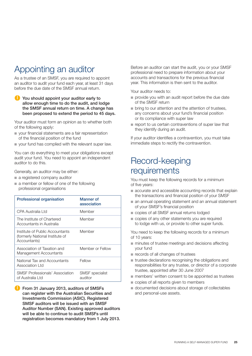## Appointing an auditor

As a trustee of an SMSF, you are required to appoint an auditor to audit your fund each year, at least 31 days before the due date of the SMSF annual return.

You should appoint your auditor early to allow enough time to do the audit, and lodge the SMSF annual return on time. A change has been proposed to extend the period to 45 days.

Your auditor must form an opinion as to whether both of the following apply:

- $\blacksquare$  your financial statements are a fair representation of the financial position of the fund
- n your fund has complied with the relevant super law.

You can do everything to meet your obligations except audit your fund. You need to appoint an independent auditor to do this.

Generally, an auditor may be either:

- a registered company auditor
- a member or fellow of one of the following professional organisations

| <b>Professional organisation</b>                                                   | Manner of<br>association          |
|------------------------------------------------------------------------------------|-----------------------------------|
| CPA Australia I td                                                                 | Member                            |
| The Institute of Chartered<br>Accountants in Australia                             | Member                            |
| Institute of Public Accountants<br>(formerly National Institute of<br>Accountants) | Member                            |
| Association of Taxation and<br>Management Accountants                              | Member or Fellow                  |
| National Tax and Accountants<br>Association Ltd                                    | Fellow                            |
| <b>SMSF Professionals' Association</b><br>of Australia I td                        | <b>SMSF</b> specialist<br>auditor |

**Comment 31 January 2013, auditors of SMSFs** can register with the Australian Securities and Investments Commission (ASIC). Registered SMSF auditors will be issued with an SMSF Auditor Number (SAN). Existing approved auditors will be able to continue to audit SMSFs until registration becomes mandatory from 1 July 2013.

Before an auditor can start the audit, you or your SMSF professional need to prepare information about your accounts and transactions for the previous financial year. This information is then sent to the auditor.

Your auditor needs to:

- provide you with an audit report before the due date of the SMSF return
- $\blacksquare$  bring to our attention and the attention of trustees. any concerns about your fund's financial position or its compliance with super law
- $\blacksquare$  report to us certain contraventions of super law that they identify during an audit.

If your auditor identifies a contravention, you must take immediate steps to rectify the contravention.

## Record-keeping requirements

You must keep the following records for a minimum of five years:

- $\blacksquare$  accurate and accessible accounting records that explain the transactions and financial position of your SMSF
- n an annual operating statement and an annual statement of your SMSF's financial position
- copies of all SMSF annual returns lodged
- copies of any other statements you are required to lodge with us, or provide to other super funds.

You need to keep the following records for a minimum of 10 years:

- $\blacksquare$  minutes of trustee meetings and decisions affecting your fund
- **n** records of all changes of trustees
- $\blacksquare$  trustee declarations recognising the obligations and responsibilities for any trustee, or director of a corporate trustee, appointed after 30 June 2007
- members' written consent to be appointed as trustees
- $\blacksquare$  copies of all reports given to members
- n documented decisions about storage of collectables and personal-use assets.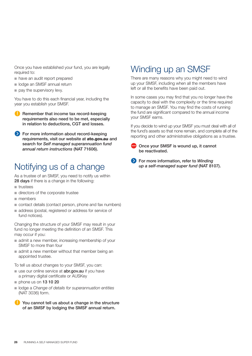Once you have established your fund, you are legally required to:

- n have an audit report prepared
- ol lodge an SMSF annual return
- $\blacksquare$  pay the supervisory levy.

You have to do this each financial year, including the year you establish your SMSF.

- Remember that income tax record-keeping requirements also need to be met, especially in relation to deductions, CGT and losses.
- ◆ For more information about record-keeping requirements, visit our website at ato.gov.au and search for *Self managed superannuation fund annual return instructions* (NAT 71606).

## Notifying us of a change

As a trustee of an SMSF, you need to notify us within 28 days if there is a change in the following:

- $t$  trustees
- $\blacksquare$  directors of the corporate trustee
- $m$  members
- contact details (contact person, phone and fax numbers)
- n address (postal, registered or address for service of fund notices).

Changing the structure of your SMSF may result in your fund no longer meeting the definition of an SMSF. This may occur if you:

- $\blacksquare$  admit a new member, increasing membership of your SMSF to more than four
- $\blacksquare$  admit a new member without that member being an appointed trustee.

To tell us about changes to your SMSF, you can:

- use our online service at **abr.gov.au** if you have a primary digital certificate or AUSKey
- $n$  phone us on 13 10 20
- lodge a *Change of details for superannuation entities* (NAT 3036) form.
- You cannot tell us about a change in the structure of an SMSF by lodging the SMSF annual return.

## Winding up an SMSF

There are many reasons why you might need to wind up your SMSF, including when all the members have left or all the benefits have been paid out.

In some cases you may find that you no longer have the capacity to deal with the complexity or the time required to manage an SMSF. You may find the costs of running the fund are significant compared to the annual income your SMSF earns.

If you decide to wind up your SMSF you must deal with all of the fund's assets so that none remain, and complete all of the reporting and other administrative obligations as a trustee.

- Once your SMSF is wound up, it cannot be reactivated.
- For more information, refer to *Winding*  up a self-managed super fund (NAT 8107).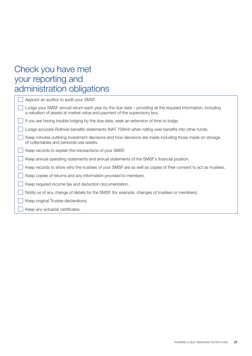## Check you have met your reporting and administration obligations

| Appoint an auditor to audit your SMSF.                                                                                                                                                    |
|-------------------------------------------------------------------------------------------------------------------------------------------------------------------------------------------|
| Lodge your SMSF annual return each year by the due date – providing all the required information, including<br>a valuation of assets at market value and payment of the supervisory levy. |
| If you are having trouble lodging by the due date, seek an extension of time to lodge.                                                                                                    |
| Lodge accurate Rollover benefits statements (NAT 70944) when rolling over benefits into other funds.                                                                                      |
| Keep minutes outlining investment decisions and how decisions are made including those made on storage<br>of collectables and personal-use assets.                                        |
| Keep records to explain the transactions of your SMSF.                                                                                                                                    |
| Keep annual operating statements and annual statements of the SMSF's financial position.                                                                                                  |
| Keep records to show who the trustees of your SMSF are as well as copies of their consent to act as trustees.                                                                             |
| Keep copies of returns and any information provided to members.                                                                                                                           |
| Keep required income tax and deduction documentation.                                                                                                                                     |
| Notify us of any change of details for the SMSF (for example, changes of trustees or members).                                                                                            |
| Keep original Trustee declarations.                                                                                                                                                       |
| Keep any actuarial certificates.                                                                                                                                                          |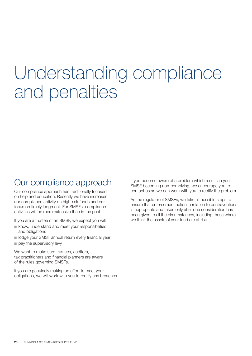## Understanding compliance and penalties

## Our compliance approach

Our compliance approach has traditionally focused on help and education. Recently we have increased our compliance activity on high-risk funds and our focus on timely lodgment. For SMSFs, compliance activities will be more extensive than in the past.

If you are a trustee of an SMSF, we expect you will:

- $n$  know, understand and meet your responsibilities and obligations
- **n** lodge your SMSF annual return every financial year
- $\blacksquare$  pay the supervisory levy.

We want to make sure trustees, auditors, tax practitioners and financial planners are aware of the rules governing SMSFs.

If you are genuinely making an effort to meet your obligations, we will work with you to rectify any breaches. If you become aware of a problem which results in your SMSF becoming non-complying, we encourage you to contact us so we can work with you to rectify the problem.

As the regulator of SMSFs, we take all possible steps to ensure that enforcement action in relation to contraventions is appropriate and taken only after due consideration has been given to all the circumstances, including those where we think the assets of your fund are at risk.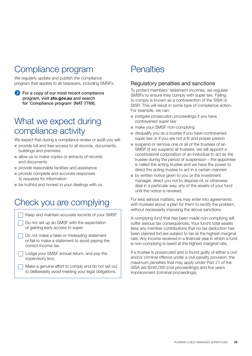## Compliance program

We regularly update and publish the compliance program that applies to all taxpayers, including SMSFs.

**Solution** For a copy of our most recent compliance program, visit ato.gov.au and search for 'Compliance program' (NAT 7769).

## What we expect during compliance activity

We expect that during a compliance review or audit you will:

- n provide full and free access to all records, documents, buildings and premises
- n allow us to make copies or extracts of records and documents
- $\blacksquare$  provide reasonable facilities and assistance
- n provide complete and accurate responses to requests for information
- $\blacksquare$  be truthful and honest in your dealings with us.

## Check you are complying

| Keep and maintain accurate records of your SMSF.                                |  |
|---------------------------------------------------------------------------------|--|
| Do not set up an SMSF with the expectation<br>of gaining early access to super. |  |

- Do not make a false or misleading statement or fail to make a statement to avoid paying the correct income tax.
- □ Lodge your SMSF annual return, and pay the supervisory levy.
	- Make a genuine effort to comply and do not set out to deliberately avoid meeting your legal obligations.

## **Penalties**

#### Regulatory penalties and sanctions

To protect members' retirement incomes, we regulate SMSFs to ensure they comply with super law. Failing to comply is known as a contravention of the SISA or SISR. This will result in some type of compliance action. For example, we can:

- $\blacksquare$  instigate prosecution proceedings if you have contravened super law
- make your SMSF non-complying
- n disqualify you as a trustee if you have contravened super law or if you are not a fit and proper person
- suspend or remove one or all of the trustees of an SMSF (if we suspend all trustees, we will appoint a constitutional corporation or an individual to act as the trustee during the period of suspension – the appointee is called the acting trustee and we have the power to direct the acting trustee to act in a certain manner)
- **n** by written notice given to you or the investment manager, direct you not to dispose of, or otherwise deal in a particular way, any of the assets of your fund until the notice is revoked.

For less serious matters, we may enter into agreements with trustees about a plan for them to rectify the problem, without necessarily imposing the above sanctions.

A complying fund that has been made non-complying will suffer serious tax consequences. Your fund's total assets (less any member contributions that no tax deduction has been claimed for) are subject to tax at the highest marginal rate. Any income received in a financial year in which a fund is non-complying is taxed at the highest marginal rate.

If a trustee is prosecuted and is found guilty of either a civil and/or criminal offence under a civil penalty provision, the maximum penalties that may apply under Part 21 of the SISA are \$340,000 (civil proceedings) and five years imprisonment (criminal proceedings).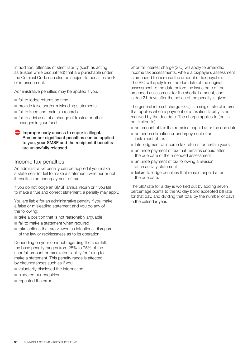In addition, offences of strict liability (such as acting as trustee while disqualified) that are punishable under the Criminal Code can also be subject to penalties and/ or imprisonment.

Administrative penalties may be applied if you:

- $\blacksquare$  fail to lodge returns on time
- $\blacksquare$  provide false and/or misleading statements
- fail to keep and maintain records
- $\blacksquare$  fail to advise us of a change of trustee or other changes in your fund.

Improper early access to super is illegal. Remember significant penalties can be applied to you, your SMSF and the recipient if benefits are unlawfully released.

#### Income tax penalties

An administrative penalty can be applied if you make a statement (or fail to make a statement) whether or not it results in an underpayment of tax.

If you do not lodge an SMSF annual return or if you fail to make a true and correct statement, a penalty may apply.

You are liable for an administrative penalty if you make a false or misleading statement and you do any of the following:

- $\blacksquare$  take a position that is not reasonably arguable
- $\blacksquare$  fail to make a statement when required
- $\blacksquare$  take actions that are viewed as intentional disregard of the law or recklessness as to its operation.

Depending on your conduct regarding the shortfall, the base penalty ranges from 25% to 75% of the shortfall amount or tax related liability for failing to make a statement. This penalty range is affected by circumstances such as if you:

- $\blacksquare$  voluntarily disclosed the information
- n hindered our enquiries
- n repeated the error.

Shortfall interest charge (SIC) will apply to amended income tax assessments, where a taxpayer's assessment is amended to increase the amount of tax payable. The SIC will apply from the due date of the original assessment to the date before the issue date of the amended assessment for the shortfall amount, and is due 21 days after the notice of the penalty is given.

The general interest charge (GIC) is a single rate of interest that applies when a payment of a taxation liability is not received by the due date. The charge applies to (but is not limited to):

- $\blacksquare$  an amount of tax that remains unpaid after the due date
- $\blacksquare$  an underestimation or underpayment of an instalment of tax
- n late lodgment of income tax returns for certain years
- an underpayment of tax that remains unpaid after the due date of the amended assessment
- n an underpayment of tax following a revision of an activity statement
- n failure to lodge penalties that remain unpaid after the due date.

The GIC rate for a day is worked out by adding seven percentage points to the 90 day bond accepted bill rate for that day, and dividing that total by the number of days in the calendar year.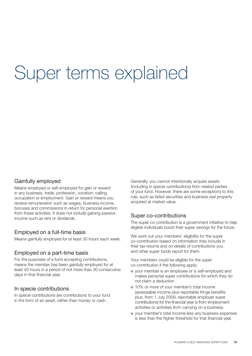## Super terms explained

#### Gainfully employed

Means employed or self-employed for gain or reward in any business, trade, profession, vocation, calling, occupation or employment. Gain or reward means you receive remuneration such as wages, business income, bonuses and commissions in return for personal exertion from these activities. It does not include gaining passive income such as rent or dividends.

#### Employed on a full-time basis

Means gainfully employed for at least 30 hours each week.

#### Employed on a part-time basis

For the purposes of a fund accepting contributions, means the member has been gainfully employed for at least 40 hours in a period of not more than 30 consecutive days in that financial year.

#### In specie contributions

In specie contributions are contributions to your fund in the form of an asset, rather than money or cash.

Generally, you cannot intentionally acquire assets (including in specie contributions) from related parties of your fund. However, there are some exceptions to this rule, such as listed securities and business real property acquired at market value.

#### Super co-contributions

The super co-contribution is a government initiative to help eligible individuals boost their super savings for the future.

We work out your members' eligibility for the super co-contribution based on information they include in their tax returns and on details of contributions you and other super funds report for them.

Your members could be eligible for the super co-contribution if the following apply:

- vour member is an employee or is self-employed and makes personal super contributions for which they do not claim a deduction
- 10% or more of your member's total income (assessable income plus reportable fringe benefits plus, from 1 July 2009, reportable employer super contributions) for the financial year is from employment activities or activities from carrying on a business
- n your member's total income less any business expenses is less than the higher threshold for that financial year.